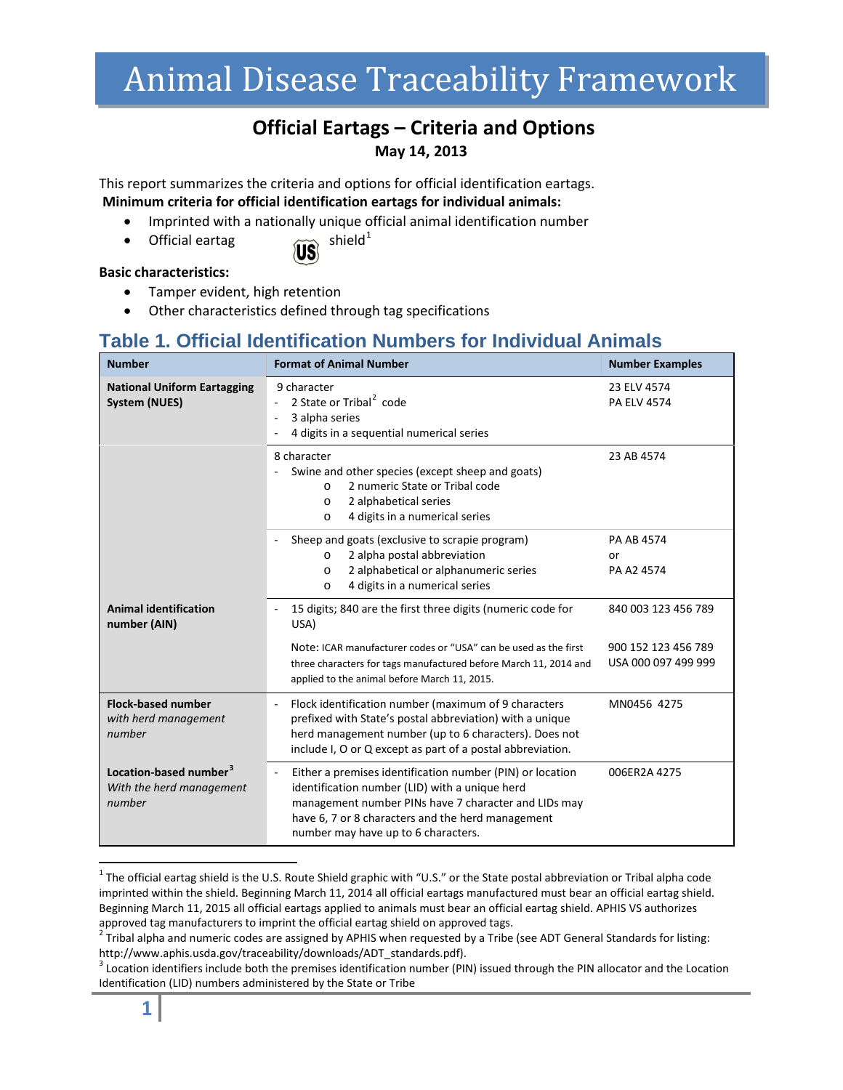# Animal Disease Traceability Framework

#### **Official Eartags – Criteria and Options May 14, 2013**

This report summarizes the criteria and options for official identification eartags. **Minimum criteria for official identification eartags for individual animals:**

- Imprinted with a nationally unique official animal identification number
- Official eartag  $\widetilde{\text{US}}$  shield<sup>[1](#page-0-0)</sup>
	-

#### **Basic characteristics:**

- Tamper evident, high retention
- Other characteristics defined through tag specifications

#### **Table 1. Official Identification Numbers for Individual Animals**

| <b>Number</b>                                                            | <b>Format of Animal Number</b>                                                                                                                                                                                                                                                              | <b>Number Examples</b>                     |
|--------------------------------------------------------------------------|---------------------------------------------------------------------------------------------------------------------------------------------------------------------------------------------------------------------------------------------------------------------------------------------|--------------------------------------------|
| <b>National Uniform Eartagging</b><br><b>System (NUES)</b>               | 9 character<br>2 State or Tribal <sup>2</sup> code<br>3 alpha series<br>4 digits in a sequential numerical series                                                                                                                                                                           | 23 ELV 4574<br><b>PA ELV 4574</b>          |
|                                                                          | 8 character<br>Swine and other species (except sheep and goats)<br>2 numeric State or Tribal code<br>$\Omega$<br>2 alphabetical series<br>$\circ$<br>4 digits in a numerical series<br>$\circ$                                                                                              | 23 AB 4574                                 |
|                                                                          | Sheep and goats (exclusive to scrapie program)<br>2 alpha postal abbreviation<br>$\Omega$<br>2 alphabetical or alphanumeric series<br>$\Omega$<br>4 digits in a numerical series<br>$\circ$                                                                                                 | PA AB 4574<br>or<br>PA A2 4574             |
| <b>Animal identification</b><br>number (AIN)                             | 15 digits; 840 are the first three digits (numeric code for<br>USA)                                                                                                                                                                                                                         | 840 003 123 456 789                        |
|                                                                          | Note: ICAR manufacturer codes or "USA" can be used as the first<br>three characters for tags manufactured before March 11, 2014 and<br>applied to the animal before March 11, 2015.                                                                                                         | 900 152 123 456 789<br>USA 000 097 499 999 |
| <b>Flock-based number</b><br>with herd management<br>number              | Flock identification number (maximum of 9 characters<br>prefixed with State's postal abbreviation) with a unique<br>herd management number (up to 6 characters). Does not<br>include I, O or Q except as part of a postal abbreviation.                                                     | MN0456 4275                                |
| Location-based number <sup>3</sup><br>With the herd management<br>number | Either a premises identification number (PIN) or location<br>$\overline{\phantom{a}}$<br>identification number (LID) with a unique herd<br>management number PINs have 7 character and LIDs may<br>have 6, 7 or 8 characters and the herd management<br>number may have up to 6 characters. | 006ER2A 4275                               |

<span id="page-0-0"></span> $1$  The official eartag shield is the U.S. Route Shield graphic with "U.S." or the State postal abbreviation or Tribal alpha code imprinted within the shield. Beginning March 11, 2014 all official eartags manufactured must bear an official eartag shield. Beginning March 11, 2015 all official eartags applied to animals must bear an official eartag shield. APHIS VS authorizes approved tag manufacturers to imprint the official eartag shield on approved tags.<br><sup>2</sup> Tribal alpha and numeric codes are assigned by APHIS when requested by a Tribe (see ADT General Standards for listing:

 $\overline{a}$ 

<span id="page-0-1"></span>http://www.aphis.usda.gov/traceability/downloads/ADT\_standards.pdf).<br><sup>3</sup> Location identifiers include both the premises identification number (PIN) issued through the PIN allocator and the Location

<span id="page-0-2"></span>Identification (LID) numbers administered by the State or Tribe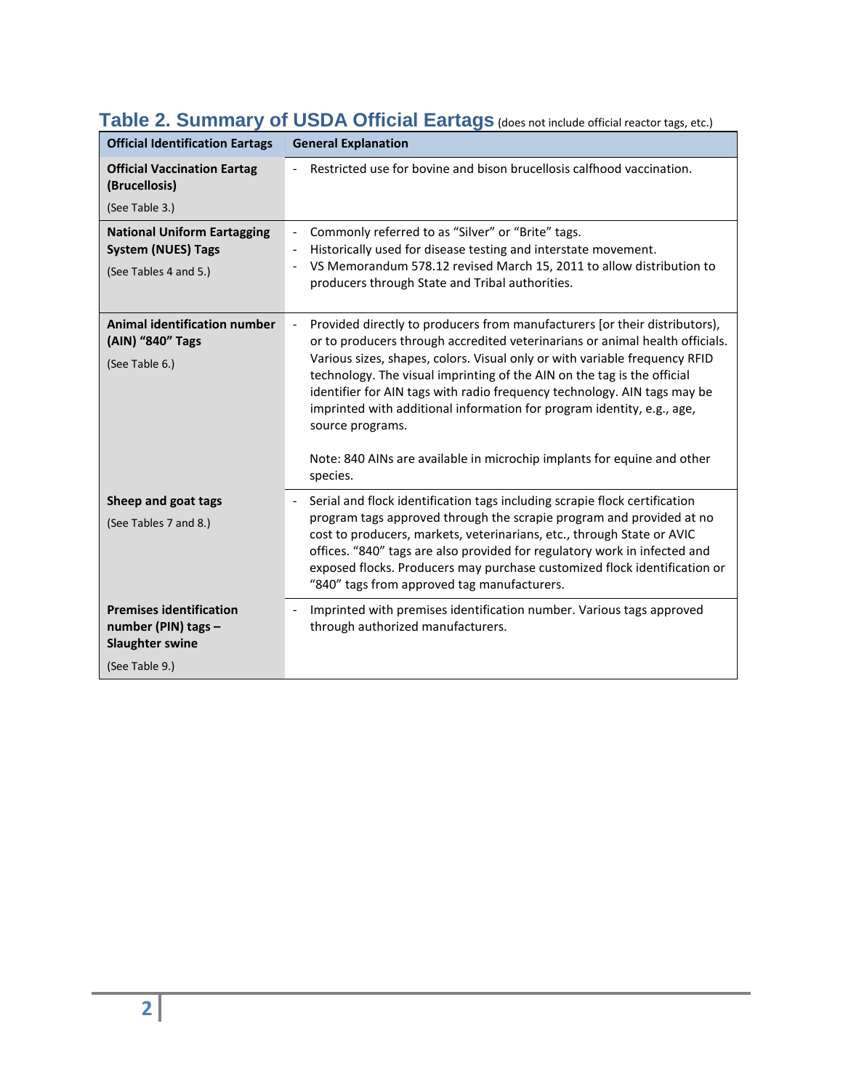| <b>Official Identification Eartags</b>                                                            | <b>General Explanation</b>                                                                                                                                                                                                                                                                                                                                                                                                                                                                                                                                                           |  |
|---------------------------------------------------------------------------------------------------|--------------------------------------------------------------------------------------------------------------------------------------------------------------------------------------------------------------------------------------------------------------------------------------------------------------------------------------------------------------------------------------------------------------------------------------------------------------------------------------------------------------------------------------------------------------------------------------|--|
| <b>Official Vaccination Eartag</b><br>(Brucellosis)<br>(See Table 3.)                             | Restricted use for bovine and bison brucellosis calfhood vaccination.                                                                                                                                                                                                                                                                                                                                                                                                                                                                                                                |  |
| <b>National Uniform Eartagging</b><br><b>System (NUES) Tags</b><br>(See Tables 4 and 5.)          | Commonly referred to as "Silver" or "Brite" tags.<br>Historically used for disease testing and interstate movement.<br>VS Memorandum 578.12 revised March 15, 2011 to allow distribution to<br>producers through State and Tribal authorities.                                                                                                                                                                                                                                                                                                                                       |  |
| <b>Animal identification number</b><br>(AIN) "840" Tags<br>(See Table 6.)                         | Provided directly to producers from manufacturers [or their distributors),<br>or to producers through accredited veterinarians or animal health officials.<br>Various sizes, shapes, colors. Visual only or with variable frequency RFID<br>technology. The visual imprinting of the AIN on the tag is the official<br>identifier for AIN tags with radio frequency technology. AIN tags may be<br>imprinted with additional information for program identity, e.g., age,<br>source programs.<br>Note: 840 AINs are available in microchip implants for equine and other<br>species. |  |
| Sheep and goat tags<br>(See Tables 7 and 8.)                                                      | Serial and flock identification tags including scrapie flock certification<br>program tags approved through the scrapie program and provided at no<br>cost to producers, markets, veterinarians, etc., through State or AVIC<br>offices. "840" tags are also provided for regulatory work in infected and<br>exposed flocks. Producers may purchase customized flock identification or<br>"840" tags from approved tag manufacturers.                                                                                                                                                |  |
| <b>Premises identification</b><br>number (PIN) tags -<br><b>Slaughter swine</b><br>(See Table 9.) | Imprinted with premises identification number. Various tags approved<br>through authorized manufacturers.                                                                                                                                                                                                                                                                                                                                                                                                                                                                            |  |

## Table 2. Summary of USDA Official Eartags (does not include official reactor tags, etc.)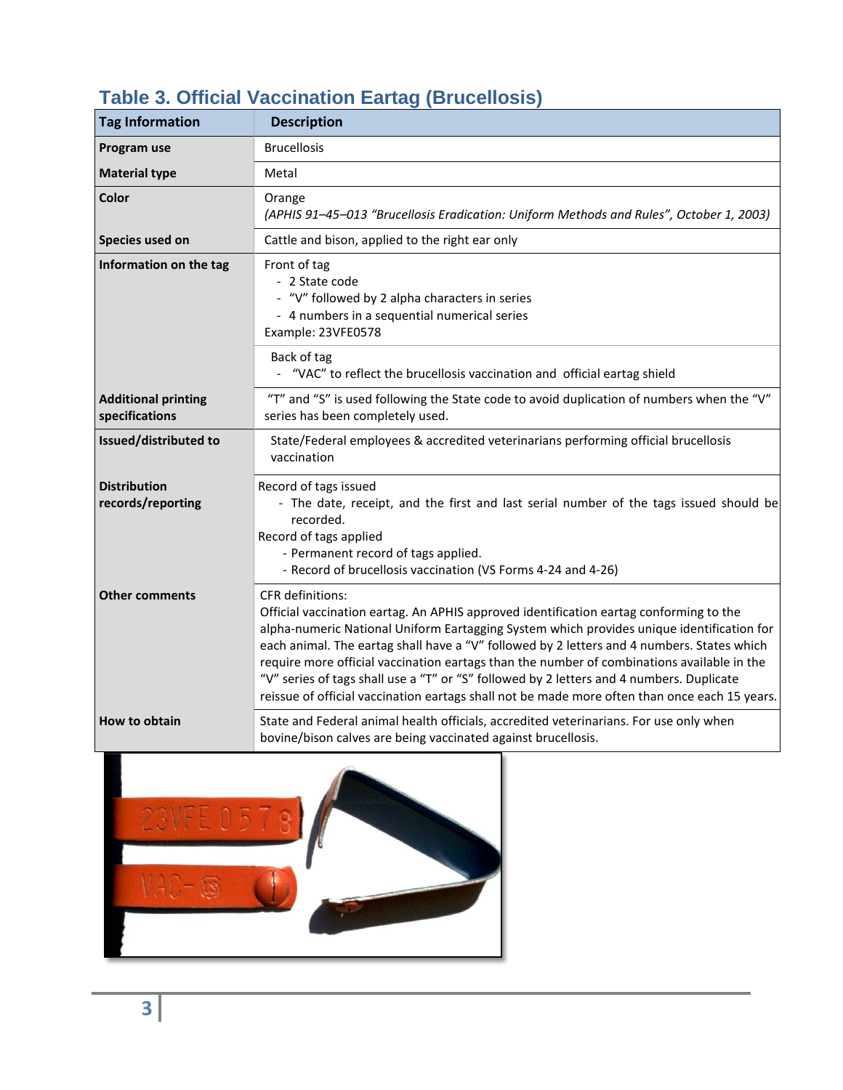| <b>Tag Information</b>                       | <b>Description</b>                                                                                                                                                                                                                                                                                                                                                                                                                                                                                                                                                                                      |
|----------------------------------------------|---------------------------------------------------------------------------------------------------------------------------------------------------------------------------------------------------------------------------------------------------------------------------------------------------------------------------------------------------------------------------------------------------------------------------------------------------------------------------------------------------------------------------------------------------------------------------------------------------------|
| Program use                                  | <b>Brucellosis</b>                                                                                                                                                                                                                                                                                                                                                                                                                                                                                                                                                                                      |
| <b>Material type</b>                         | Metal                                                                                                                                                                                                                                                                                                                                                                                                                                                                                                                                                                                                   |
| <b>Color</b>                                 | Orange<br>(APHIS 91-45-013 "Brucellosis Eradication: Uniform Methods and Rules", October 1, 2003)                                                                                                                                                                                                                                                                                                                                                                                                                                                                                                       |
| Species used on                              | Cattle and bison, applied to the right ear only                                                                                                                                                                                                                                                                                                                                                                                                                                                                                                                                                         |
| Information on the tag                       | Front of tag<br>- 2 State code<br>- "V" followed by 2 alpha characters in series<br>- 4 numbers in a sequential numerical series<br>Example: 23VFE0578                                                                                                                                                                                                                                                                                                                                                                                                                                                  |
|                                              | Back of tag<br>- "VAC" to reflect the brucellosis vaccination and official eartag shield                                                                                                                                                                                                                                                                                                                                                                                                                                                                                                                |
| <b>Additional printing</b><br>specifications | "T" and "S" is used following the State code to avoid duplication of numbers when the "V"<br>series has been completely used.                                                                                                                                                                                                                                                                                                                                                                                                                                                                           |
| Issued/distributed to                        | State/Federal employees & accredited veterinarians performing official brucellosis<br>vaccination                                                                                                                                                                                                                                                                                                                                                                                                                                                                                                       |
| <b>Distribution</b><br>records/reporting     | Record of tags issued<br>- The date, receipt, and the first and last serial number of the tags issued should be<br>recorded.<br>Record of tags applied<br>- Permanent record of tags applied.<br>- Record of brucellosis vaccination (VS Forms 4-24 and 4-26)                                                                                                                                                                                                                                                                                                                                           |
| <b>Other comments</b>                        | <b>CFR</b> definitions:<br>Official vaccination eartag. An APHIS approved identification eartag conforming to the<br>alpha-numeric National Uniform Eartagging System which provides unique identification for<br>each animal. The eartag shall have a "V" followed by 2 letters and 4 numbers. States which<br>require more official vaccination eartags than the number of combinations available in the<br>"V" series of tags shall use a "T" or "S" followed by 2 letters and 4 numbers. Duplicate<br>reissue of official vaccination eartags shall not be made more often than once each 15 years. |
| How to obtain                                | State and Federal animal health officials, accredited veterinarians. For use only when<br>bovine/bison calves are being vaccinated against brucellosis.                                                                                                                                                                                                                                                                                                                                                                                                                                                 |

# **Table 3. Official Vaccination Eartag (Brucellosis)**

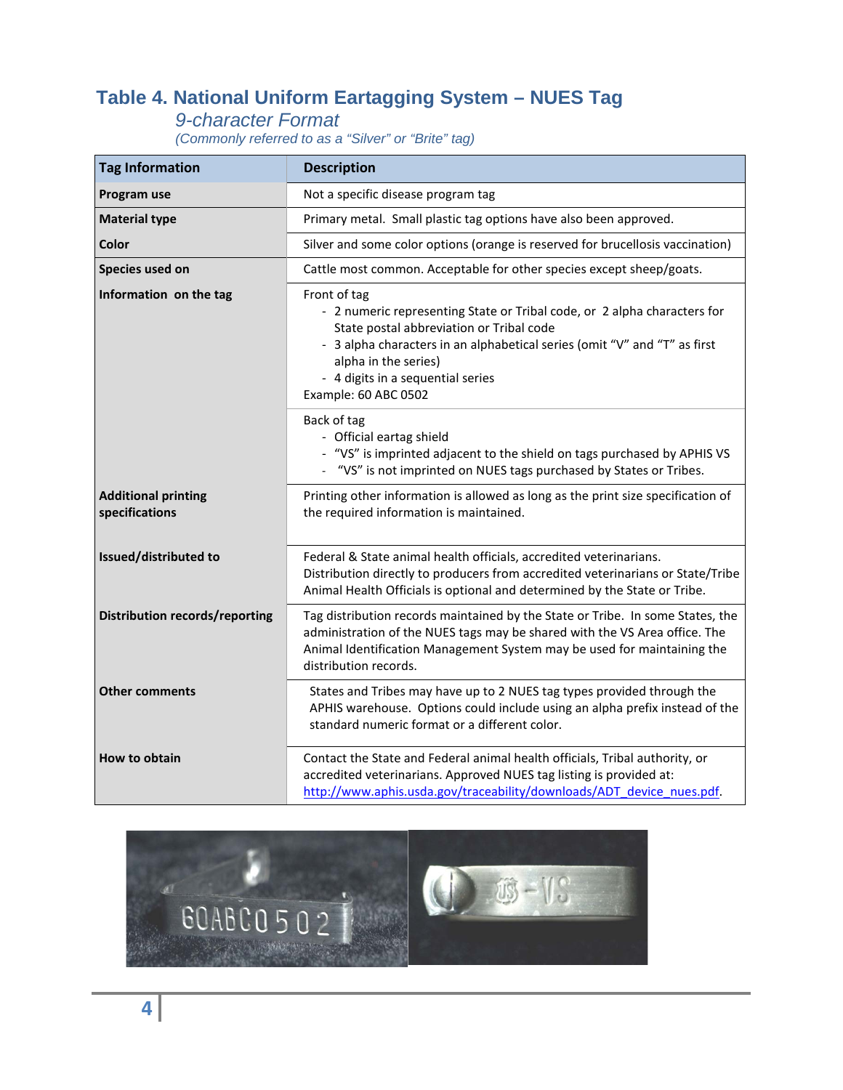## **Table 4. National Uniform Eartagging System – NUES Tag**

#### *9-character Format*

*(Commonly referred to as a "Silver" or "Brite" tag)*

| <b>Tag Information</b>                       | <b>Description</b>                                                                                                                                                                                                                                                                                     |  |
|----------------------------------------------|--------------------------------------------------------------------------------------------------------------------------------------------------------------------------------------------------------------------------------------------------------------------------------------------------------|--|
| Program use                                  | Not a specific disease program tag                                                                                                                                                                                                                                                                     |  |
| <b>Material type</b>                         | Primary metal. Small plastic tag options have also been approved.                                                                                                                                                                                                                                      |  |
| Color                                        | Silver and some color options (orange is reserved for brucellosis vaccination)                                                                                                                                                                                                                         |  |
| Species used on                              | Cattle most common. Acceptable for other species except sheep/goats.                                                                                                                                                                                                                                   |  |
| Information on the tag                       | Front of tag<br>- 2 numeric representing State or Tribal code, or 2 alpha characters for<br>State postal abbreviation or Tribal code<br>- 3 alpha characters in an alphabetical series (omit "V" and "T" as first<br>alpha in the series)<br>- 4 digits in a sequential series<br>Example: 60 ABC 0502 |  |
|                                              | Back of tag<br>- Official eartag shield<br>- "VS" is imprinted adjacent to the shield on tags purchased by APHIS VS<br>"VS" is not imprinted on NUES tags purchased by States or Tribes.                                                                                                               |  |
| <b>Additional printing</b><br>specifications | Printing other information is allowed as long as the print size specification of<br>the required information is maintained.                                                                                                                                                                            |  |
| Issued/distributed to                        | Federal & State animal health officials, accredited veterinarians.<br>Distribution directly to producers from accredited veterinarians or State/Tribe<br>Animal Health Officials is optional and determined by the State or Tribe.                                                                     |  |
| <b>Distribution records/reporting</b>        | Tag distribution records maintained by the State or Tribe. In some States, the<br>administration of the NUES tags may be shared with the VS Area office. The<br>Animal Identification Management System may be used for maintaining the<br>distribution records.                                       |  |
| <b>Other comments</b>                        | States and Tribes may have up to 2 NUES tag types provided through the<br>APHIS warehouse. Options could include using an alpha prefix instead of the<br>standard numeric format or a different color.                                                                                                 |  |
| <b>How to obtain</b>                         | Contact the State and Federal animal health officials, Tribal authority, or<br>accredited veterinarians. Approved NUES tag listing is provided at:<br>http://www.aphis.usda.gov/traceability/downloads/ADT device nues.pdf.                                                                            |  |

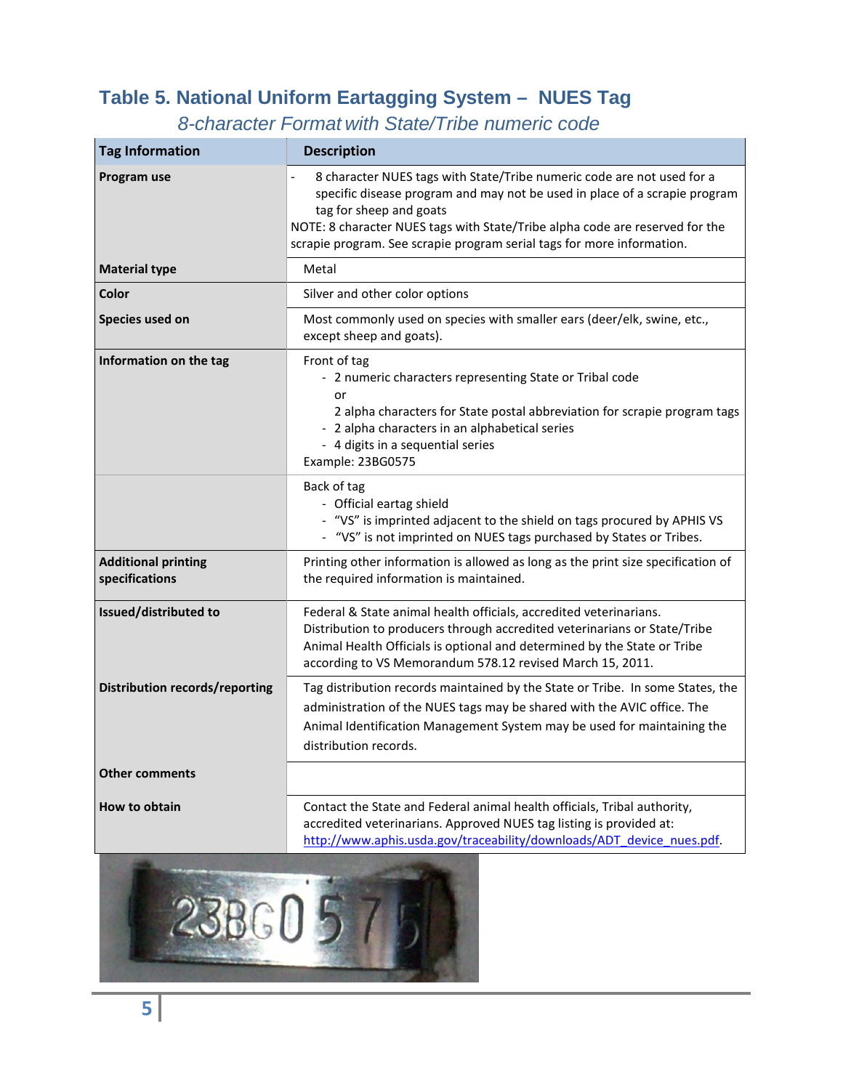## **Table 5. National Uniform Eartagging System – NUES Tag**

*8-character Format with State/Tribe numeric code*

| <b>Tag Information</b>                       | <b>Description</b>                                                                                                                                                                                                                                                                                                                                                        |  |
|----------------------------------------------|---------------------------------------------------------------------------------------------------------------------------------------------------------------------------------------------------------------------------------------------------------------------------------------------------------------------------------------------------------------------------|--|
| Program use                                  | 8 character NUES tags with State/Tribe numeric code are not used for a<br>$\qquad \qquad \blacksquare$<br>specific disease program and may not be used in place of a scrapie program<br>tag for sheep and goats<br>NOTE: 8 character NUES tags with State/Tribe alpha code are reserved for the<br>scrapie program. See scrapie program serial tags for more information. |  |
| <b>Material type</b>                         | Metal                                                                                                                                                                                                                                                                                                                                                                     |  |
| Color                                        | Silver and other color options                                                                                                                                                                                                                                                                                                                                            |  |
| Species used on                              | Most commonly used on species with smaller ears (deer/elk, swine, etc.,<br>except sheep and goats).                                                                                                                                                                                                                                                                       |  |
| Information on the tag                       | Front of tag<br>- 2 numeric characters representing State or Tribal code<br>or<br>2 alpha characters for State postal abbreviation for scrapie program tags<br>- 2 alpha characters in an alphabetical series<br>- 4 digits in a sequential series<br>Example: 23BG0575                                                                                                   |  |
|                                              | Back of tag<br>- Official eartag shield<br>- "VS" is imprinted adjacent to the shield on tags procured by APHIS VS<br>- "VS" is not imprinted on NUES tags purchased by States or Tribes.                                                                                                                                                                                 |  |
| <b>Additional printing</b><br>specifications | Printing other information is allowed as long as the print size specification of<br>the required information is maintained.                                                                                                                                                                                                                                               |  |
| Issued/distributed to                        | Federal & State animal health officials, accredited veterinarians.<br>Distribution to producers through accredited veterinarians or State/Tribe<br>Animal Health Officials is optional and determined by the State or Tribe<br>according to VS Memorandum 578.12 revised March 15, 2011.                                                                                  |  |
| <b>Distribution records/reporting</b>        | Tag distribution records maintained by the State or Tribe. In some States, the<br>administration of the NUES tags may be shared with the AVIC office. The<br>Animal Identification Management System may be used for maintaining the<br>distribution records.                                                                                                             |  |
| <b>Other comments</b>                        |                                                                                                                                                                                                                                                                                                                                                                           |  |
| How to obtain                                | Contact the State and Federal animal health officials, Tribal authority,<br>accredited veterinarians. Approved NUES tag listing is provided at:<br>http://www.aphis.usda.gov/traceability/downloads/ADT device nues.pdf.                                                                                                                                                  |  |
|                                              |                                                                                                                                                                                                                                                                                                                                                                           |  |

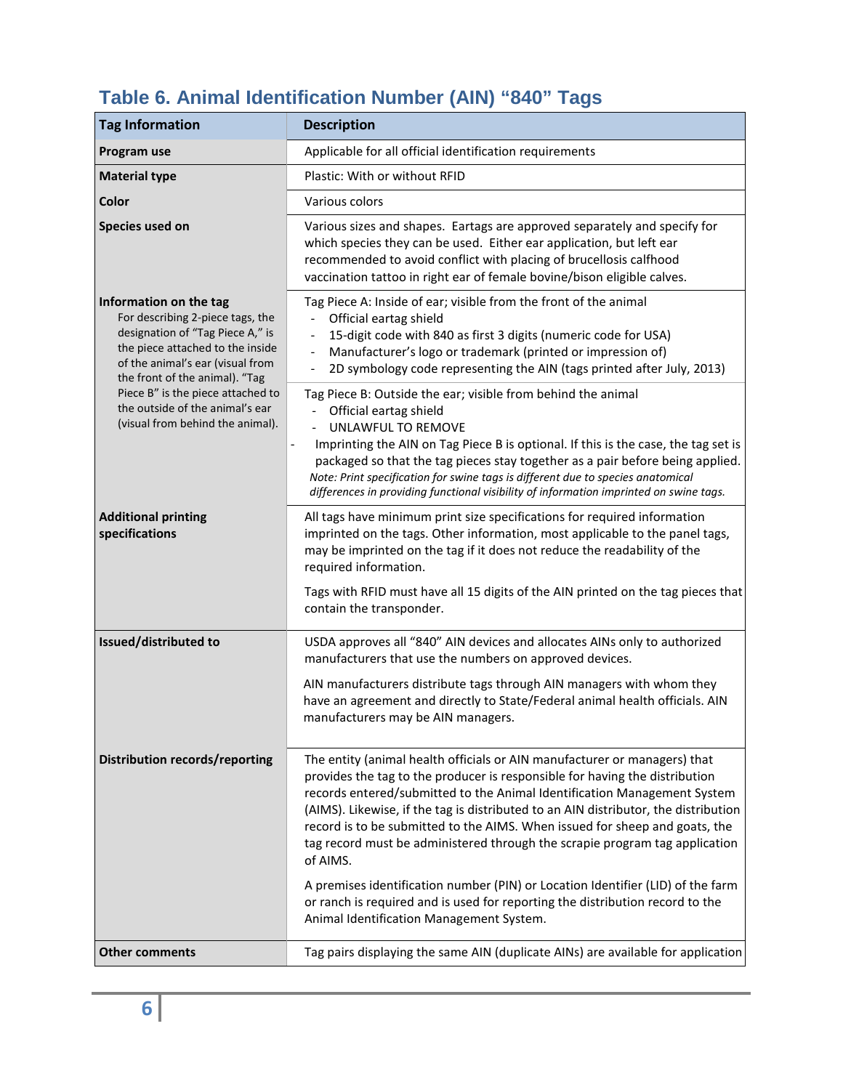| <b>Tag Information</b>                                                                                                                                                                                   | <b>Description</b>                                                                                                                                                                                                                                                                                                                                                                                                                                                                                                                                                                                                                                                                                                    |  |
|----------------------------------------------------------------------------------------------------------------------------------------------------------------------------------------------------------|-----------------------------------------------------------------------------------------------------------------------------------------------------------------------------------------------------------------------------------------------------------------------------------------------------------------------------------------------------------------------------------------------------------------------------------------------------------------------------------------------------------------------------------------------------------------------------------------------------------------------------------------------------------------------------------------------------------------------|--|
| Program use                                                                                                                                                                                              | Applicable for all official identification requirements                                                                                                                                                                                                                                                                                                                                                                                                                                                                                                                                                                                                                                                               |  |
| <b>Material type</b>                                                                                                                                                                                     | Plastic: With or without RFID                                                                                                                                                                                                                                                                                                                                                                                                                                                                                                                                                                                                                                                                                         |  |
| <b>Color</b>                                                                                                                                                                                             | Various colors                                                                                                                                                                                                                                                                                                                                                                                                                                                                                                                                                                                                                                                                                                        |  |
| Species used on                                                                                                                                                                                          | Various sizes and shapes. Eartags are approved separately and specify for<br>which species they can be used. Either ear application, but left ear<br>recommended to avoid conflict with placing of brucellosis calfhood<br>vaccination tattoo in right ear of female bovine/bison eligible calves.                                                                                                                                                                                                                                                                                                                                                                                                                    |  |
| Information on the tag<br>For describing 2-piece tags, the<br>designation of "Tag Piece A," is<br>the piece attached to the inside<br>of the animal's ear (visual from<br>the front of the animal). "Tag | Tag Piece A: Inside of ear; visible from the front of the animal<br>Official eartag shield<br>15-digit code with 840 as first 3 digits (numeric code for USA)<br>Manufacturer's logo or trademark (printed or impression of)<br>2D symbology code representing the AIN (tags printed after July, 2013)                                                                                                                                                                                                                                                                                                                                                                                                                |  |
| Piece B" is the piece attached to<br>the outside of the animal's ear<br>(visual from behind the animal).                                                                                                 | Tag Piece B: Outside the ear; visible from behind the animal<br>Official eartag shield<br>UNLAWFUL TO REMOVE<br>Imprinting the AIN on Tag Piece B is optional. If this is the case, the tag set is<br>$\qquad \qquad \blacksquare$<br>packaged so that the tag pieces stay together as a pair before being applied.<br>Note: Print specification for swine tags is different due to species anatomical<br>differences in providing functional visibility of information imprinted on swine tags.                                                                                                                                                                                                                      |  |
| <b>Additional printing</b><br>specifications                                                                                                                                                             | All tags have minimum print size specifications for required information<br>imprinted on the tags. Other information, most applicable to the panel tags,<br>may be imprinted on the tag if it does not reduce the readability of the<br>required information.<br>Tags with RFID must have all 15 digits of the AIN printed on the tag pieces that<br>contain the transponder.                                                                                                                                                                                                                                                                                                                                         |  |
| Issued/distributed to                                                                                                                                                                                    | USDA approves all "840" AIN devices and allocates AINs only to authorized<br>manufacturers that use the numbers on approved devices.<br>AIN manufacturers distribute tags through AIN managers with whom they<br>have an agreement and directly to State/Federal animal health officials. AIN<br>manufacturers may be AIN managers.                                                                                                                                                                                                                                                                                                                                                                                   |  |
| <b>Distribution records/reporting</b>                                                                                                                                                                    | The entity (animal health officials or AIN manufacturer or managers) that<br>provides the tag to the producer is responsible for having the distribution<br>records entered/submitted to the Animal Identification Management System<br>(AIMS). Likewise, if the tag is distributed to an AIN distributor, the distribution<br>record is to be submitted to the AIMS. When issued for sheep and goats, the<br>tag record must be administered through the scrapie program tag application<br>of AIMS.<br>A premises identification number (PIN) or Location Identifier (LID) of the farm<br>or ranch is required and is used for reporting the distribution record to the<br>Animal Identification Management System. |  |
| <b>Other comments</b>                                                                                                                                                                                    | Tag pairs displaying the same AIN (duplicate AINs) are available for application                                                                                                                                                                                                                                                                                                                                                                                                                                                                                                                                                                                                                                      |  |

# **Table 6. Animal Identification Number (AIN) "840" Tags**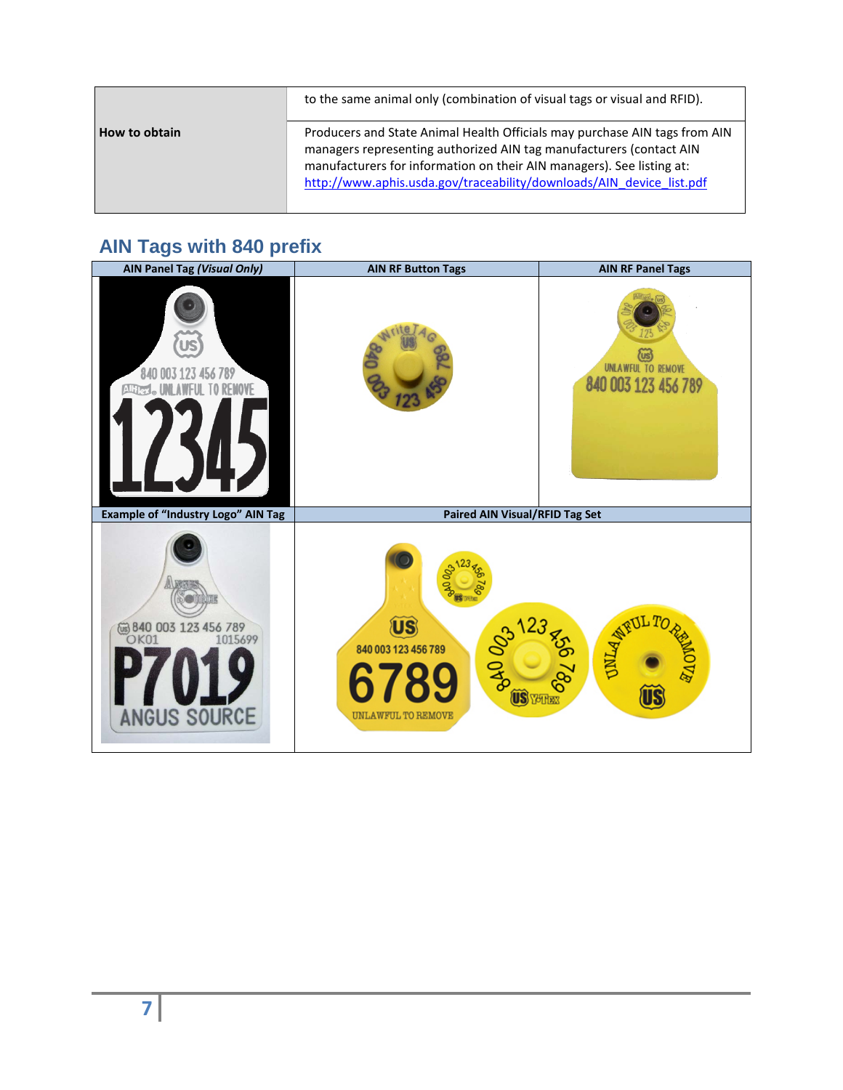|               | to the same animal only (combination of visual tags or visual and RFID).                                                                                                                                                                                                                           |
|---------------|----------------------------------------------------------------------------------------------------------------------------------------------------------------------------------------------------------------------------------------------------------------------------------------------------|
| How to obtain | Producers and State Animal Health Officials may purchase AIN tags from AIN<br>managers representing authorized AIN tag manufacturers (contact AIN<br>manufacturers for information on their AIN managers). See listing at:<br>http://www.aphis.usda.gov/traceability/downloads/AIN device list.pdf |

# **AIN Tags with 840 prefix**

| AIN Panel Tag (Visual Only)                                                 | <b>AIN RF Button Tags</b>                                                                                         | <b>AIN RF Panel Tags</b>                          |
|-----------------------------------------------------------------------------|-------------------------------------------------------------------------------------------------------------------|---------------------------------------------------|
| 840 003 123 456 789<br>Altler<br>REMOVE                                     |                                                                                                                   | <b>UNLAWFUL TO REMOVE</b><br>840 003 123 456 789  |
| <b>Example of "Industry Logo" AIN Tag</b>                                   | Paired AIN Visual/RFID Tag Set                                                                                    |                                                   |
| @ 840 003 123 456 789<br>1015699<br>OK <sub>01</sub><br><b>ANGUS SOURCE</b> | 800<br><b>ÜS</b><br>123<br><b>BAO 023</b><br>840 003 123 456 789<br><b>US</b> YUTHER<br><b>UNLAWFUL TO REMOVE</b> | 09,099<br><b>ONLA</b><br><b>FOVE</b><br><b>JS</b> |